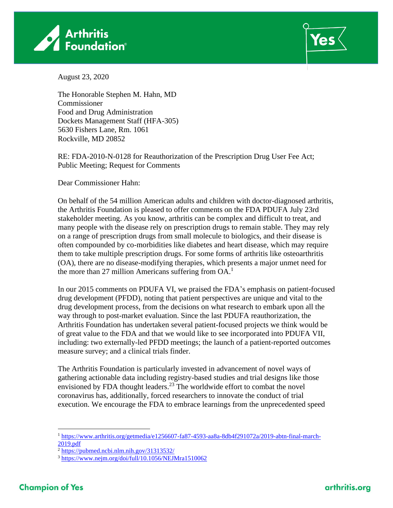



August 23, 2020

The Honorable Stephen M. Hahn, MD Commissioner Food and Drug Administration Dockets Management Staff (HFA-305) 5630 Fishers Lane, Rm. 1061 Rockville, MD 20852

RE: FDA-2010-N-0128 for Reauthorization of the Prescription Drug User Fee Act; Public Meeting; Request for Comments

Dear Commissioner Hahn:

On behalf of the 54 million American adults and children with doctor-diagnosed arthritis, the Arthritis Foundation is pleased to offer comments on the FDA PDUFA July 23rd stakeholder meeting. As you know, arthritis can be complex and difficult to treat, and many people with the disease rely on prescription drugs to remain stable. They may rely on a range of prescription drugs from small molecule to biologics, and their disease is often compounded by co-morbidities like diabetes and heart disease, which may require them to take multiple prescription drugs. For some forms of arthritis like osteoarthritis (OA), there are no disease-modifying therapies, which presents a major unmet need for the more than 27 million Americans suffering from  $OA<sup>1</sup>$ 

In our 2015 comments on PDUFA VI, we praised the FDA's emphasis on patient-focused drug development (PFDD), noting that patient perspectives are unique and vital to the drug development process, from the decisions on what research to embark upon all the way through to post-market evaluation. Since the last PDUFA reauthorization, the Arthritis Foundation has undertaken several patient-focused projects we think would be of great value to the FDA and that we would like to see incorporated into PDUFA VII, including: two externally-led PFDD meetings; the launch of a patient-reported outcomes measure survey; and a clinical trials finder.

The Arthritis Foundation is particularly invested in advancement of novel ways of gathering actionable data including registry-based studies and trial designs like those envisioned by FDA thought leaders.<sup>23</sup> The worldwide effort to combat the novel coronavirus has, additionally, forced researchers to innovate the conduct of trial execution. We encourage the FDA to embrace learnings from the unprecedented speed

<sup>1</sup> [https://www.arthritis.org/getmedia/e1256607-fa87-4593-aa8a-8db4f291072a/2019-abtn-final-march-](https://www.arthritis.org/getmedia/e1256607-fa87-4593-aa8a-8db4f291072a/2019-abtn-final-march-2019.pdf)[2019.pdf](https://www.arthritis.org/getmedia/e1256607-fa87-4593-aa8a-8db4f291072a/2019-abtn-final-march-2019.pdf)

<sup>&</sup>lt;sup>2</sup> <https://pubmed.ncbi.nlm.nih.gov/31313532/>

<sup>3</sup> <https://www.nejm.org/doi/full/10.1056/NEJMra1510062>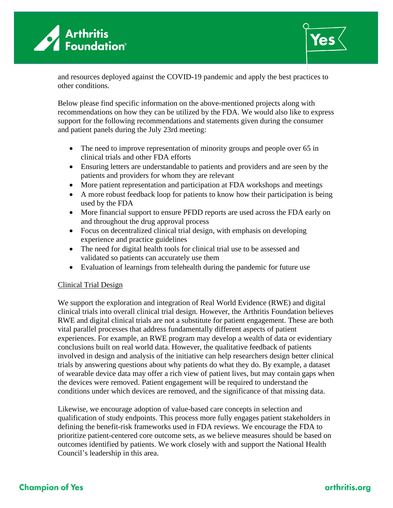



and resources deployed against the COVID-19 pandemic and apply the best practices to other conditions.

Below please find specific information on the above-mentioned projects along with recommendations on how they can be utilized by the FDA. We would also like to express support for the following recommendations and statements given during the consumer and patient panels during the July 23rd meeting:

- The need to improve representation of minority groups and people over 65 in clinical trials and other FDA efforts
- Ensuring letters are understandable to patients and providers and are seen by the patients and providers for whom they are relevant
- More patient representation and participation at FDA workshops and meetings
- A more robust feedback loop for patients to know how their participation is being used by the FDA
- More financial support to ensure PFDD reports are used across the FDA early on and throughout the drug approval process
- Focus on decentralized clinical trial design, with emphasis on developing experience and practice guidelines
- The need for digital health tools for clinical trial use to be assessed and validated so patients can accurately use them
- Evaluation of learnings from telehealth during the pandemic for future use

### Clinical Trial Design

We support the exploration and integration of Real World Evidence (RWE) and digital clinical trials into overall clinical trial design. However, the Arthritis Foundation believes RWE and digital clinical trials are not a substitute for patient engagement. These are both vital parallel processes that address fundamentally different aspects of patient experiences. For example, an RWE program may develop a wealth of data or evidentiary conclusions built on real world data. However, the qualitative feedback of patients involved in design and analysis of the initiative can help researchers design better clinical trials by answering questions about why patients do what they do. By example, a dataset of wearable device data may offer a rich view of patient lives, but may contain gaps when the devices were removed. Patient engagement will be required to understand the conditions under which devices are removed, and the significance of that missing data.

Likewise, we encourage adoption of value-based care concepts in selection and qualification of study endpoints. This process more fully engages patient stakeholders in defining the benefit-risk frameworks used in FDA reviews. We encourage the FDA to prioritize patient-centered core outcome sets, as we believe measures should be based on outcomes identified by patients. We work closely with and support the National Health Council's leadership in this area.

# **Champion of Yes**

## arthritis.org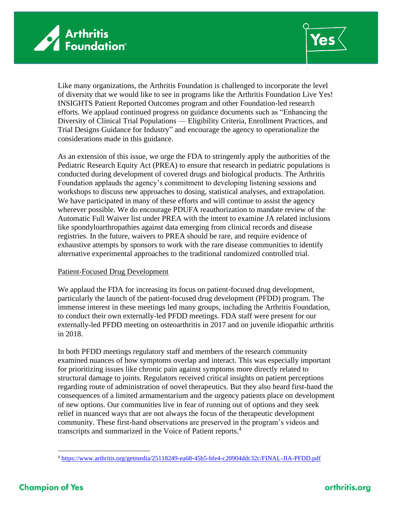



Like many organizations, the Arthritis Foundation is challenged to incorporate the level of diversity that we would like to see in programs like the Arthritis Foundation Live Yes! INSIGHTS Patient Reported Outcomes program and other Foundation-led research efforts. We applaud continued progress on guidance documents such as "Enhancing the Diversity of Clinical Trial Populations — Eligibility Criteria, Enrollment Practices, and Trial Designs Guidance for Industry" and encourage the agency to operationalize the considerations made in this guidance.

As an extension of this issue, we urge the FDA to stringently apply the authorities of the Pediatric Research Equity Act (PREA) to ensure that research in pediatric populations is conducted during development of covered drugs and biological products. The Arthritis Foundation applauds the agency's commitment to developing listening sessions and workshops to discuss new approaches to dosing, statistical analyses, and extrapolation. We have participated in many of these efforts and will continue to assist the agency wherever possible. We do encourage PDUFA reauthorization to mandate review of the Automatic Full Waiver list under PREA with the intent to examine JA related inclusions like spondyloarthropathies against data emerging from clinical records and disease registries. In the future, waivers to PREA should be rare, and require evidence of exhaustive attempts by sponsors to work with the rare disease communities to identify alternative experimental approaches to the traditional randomized controlled trial.

### Patient-Focused Drug Development

We applaud the FDA for increasing its focus on patient-focused drug development, particularly the launch of the patient-focused drug development (PFDD) program. The immense interest in these meetings led many groups, including the Arthritis Foundation, to conduct their own externally-led PFDD meetings. FDA staff were present for our externally-led PFDD meeting on osteoarthritis in 2017 and on juvenile idiopathic arthritis in 2018.

In both PFDD meetings regulatory staff and members of the research community examined nuances of how symptoms overlap and interact. This was especially important for prioritizing issues like chronic pain against symptoms more directly related to structural damage to joints. Regulators received critical insights on patient perceptions regarding route of administration of novel therapeutics. But they also heard first-hand the consequences of a limited armamentarium and the urgency patients place on development of new options. Our communities live in fear of running out of options and they seek relief in nuanced ways that are not always the focus of the therapeutic development community. These first-hand observations are preserved in the program's videos and transcripts and summarized in the Voice of Patient reports.<sup>4</sup>

<sup>4</sup> <https://www.arthritis.org/getmedia/25118249-ea68-45b5-bfe4-c20904ddc32c/FINAL-JIA-PFDD.pdf>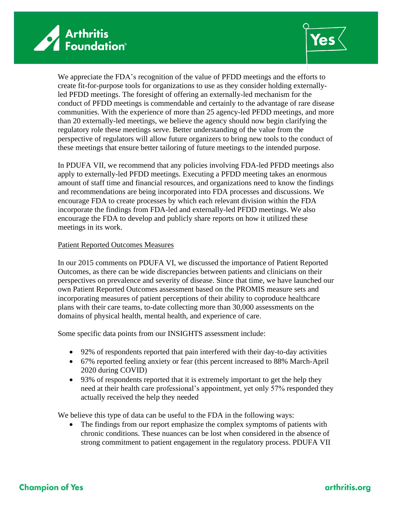



We appreciate the FDA's recognition of the value of PFDD meetings and the efforts to create fit-for-purpose tools for organizations to use as they consider holding externallyled PFDD meetings. The foresight of offering an externally-led mechanism for the conduct of PFDD meetings is commendable and certainly to the advantage of rare disease communities. With the experience of more than 25 agency-led PFDD meetings, and more than 20 externally-led meetings, we believe the agency should now begin clarifying the regulatory role these meetings serve. Better understanding of the value from the perspective of regulators will allow future organizers to bring new tools to the conduct of these meetings that ensure better tailoring of future meetings to the intended purpose.

In PDUFA VII, we recommend that any policies involving FDA-led PFDD meetings also apply to externally-led PFDD meetings. Executing a PFDD meeting takes an enormous amount of staff time and financial resources, and organizations need to know the findings and recommendations are being incorporated into FDA processes and discussions. We encourage FDA to create processes by which each relevant division within the FDA incorporate the findings from FDA-led and externally-led PFDD meetings. We also encourage the FDA to develop and publicly share reports on how it utilized these meetings in its work.

### Patient Reported Outcomes Measures

In our 2015 comments on PDUFA VI, we discussed the importance of Patient Reported Outcomes, as there can be wide discrepancies between patients and clinicians on their perspectives on prevalence and severity of disease. Since that time, we have launched our own Patient Reported Outcomes assessment based on the PROMIS measure sets and incorporating measures of patient perceptions of their ability to coproduce healthcare plans with their care teams, to-date collecting more than 30,000 assessments on the domains of physical health, mental health, and experience of care.

Some specific data points from our INSIGHTS assessment include:

- 92% of respondents reported that pain interfered with their day-to-day activities
- 67% reported feeling anxiety or fear (this percent increased to 88% March-April 2020 during COVID)
- 93% of respondents reported that it is extremely important to get the help they need at their health care professional's appointment, yet only 57% responded they actually received the help they needed

We believe this type of data can be useful to the FDA in the following ways:

• The findings from our report emphasize the complex symptoms of patients with chronic conditions. These nuances can be lost when considered in the absence of strong commitment to patient engagement in the regulatory process. PDUFA VII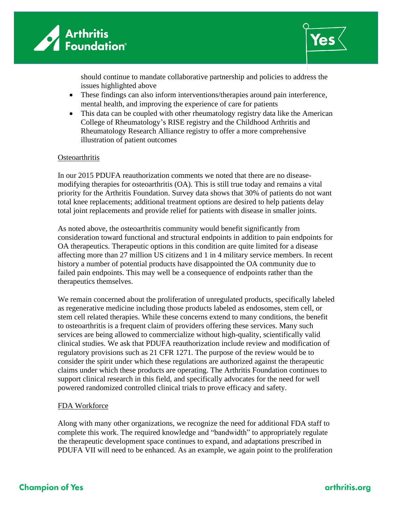



should continue to mandate collaborative partnership and policies to address the issues highlighted above

- These findings can also inform interventions/therapies around pain interference, mental health, and improving the experience of care for patients
- This data can be coupled with other rheumatology registry data like the American College of Rheumatology's RISE registry and the Childhood Arthritis and Rheumatology Research Alliance registry to offer a more comprehensive illustration of patient outcomes

### **Osteoarthritis**

In our 2015 PDUFA reauthorization comments we noted that there are no diseasemodifying therapies for osteoarthritis (OA). This is still true today and remains a vital priority for the Arthritis Foundation. Survey data shows that 30% of patients do not want total knee replacements; additional treatment options are desired to help patients delay total joint replacements and provide relief for patients with disease in smaller joints.

As noted above, the osteoarthritis community would benefit significantly from consideration toward functional and structural endpoints in addition to pain endpoints for OA therapeutics. Therapeutic options in this condition are quite limited for a disease affecting more than 27 million US citizens and 1 in 4 military service members. In recent history a number of potential products have disappointed the OA community due to failed pain endpoints. This may well be a consequence of endpoints rather than the therapeutics themselves.

We remain concerned about the proliferation of unregulated products, specifically labeled as regenerative medicine including those products labeled as endosomes, stem cell, or stem cell related therapies. While these concerns extend to many conditions, the benefit to osteoarthritis is a frequent claim of providers offering these services. Many such services are being allowed to commercialize without high-quality, scientifically valid clinical studies. We ask that PDUFA reauthorization include review and modification of regulatory provisions such as 21 CFR 1271. The purpose of the review would be to consider the spirit under which these regulations are authorized against the therapeutic claims under which these products are operating. The Arthritis Foundation continues to support clinical research in this field, and specifically advocates for the need for well powered randomized controlled clinical trials to prove efficacy and safety.

### FDA Workforce

Along with many other organizations, we recognize the need for additional FDA staff to complete this work. The required knowledge and "bandwidth" to appropriately regulate the therapeutic development space continues to expand, and adaptations prescribed in PDUFA VII will need to be enhanced. As an example, we again point to the proliferation